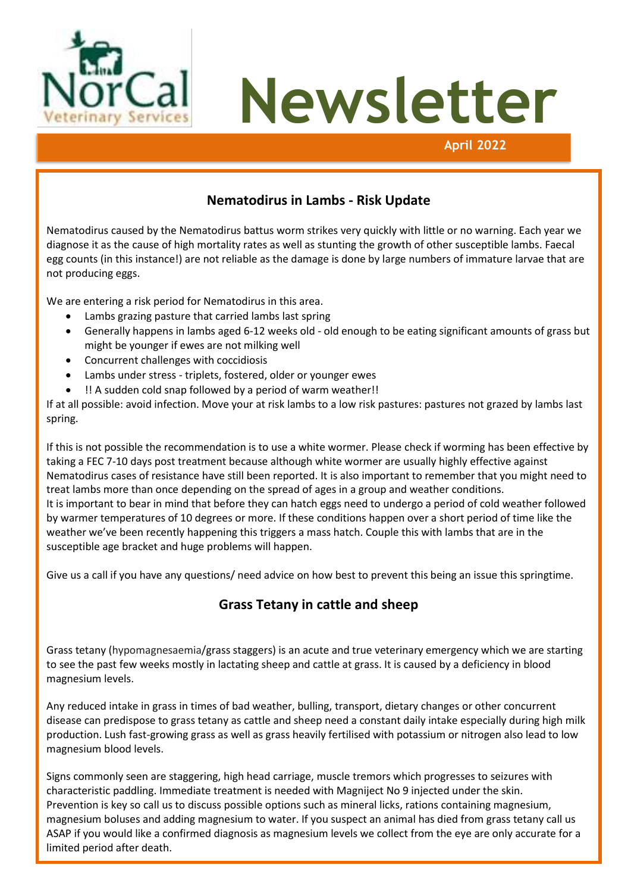

#### **Nematodirus in Lambs - Risk Update**

Nematodirus caused by the Nematodirus battus worm strikes very quickly with little or no warning. Each year we diagnose it as the cause of high mortality rates as well as stunting the growth of other susceptible lambs. Faecal egg counts (in this instance!) are not reliable as the damage is done by large numbers of immature larvae that are not producing eggs.

We are entering a risk period for Nematodirus in this area.

- Lambs grazing pasture that carried lambs last spring
- Generally happens in lambs aged 6-12 weeks old old enough to be eating significant amounts of grass but might be younger if ewes are not milking well
- Concurrent challenges with coccidiosis
- Lambs under stress triplets, fostered, older or younger ewes
- !! A sudden cold snap followed by a period of warm weather!!

If at all possible: avoid infection. Move your at risk lambs to a low risk pastures: pastures not grazed by lambs last spring.

If this is not possible the recommendation is to use a white wormer. Please check if worming has been effective by taking a FEC 7-10 days post treatment because although white wormer are usually highly effective against Nematodirus cases of resistance have still been reported. It is also important to remember that you might need to treat lambs more than once depending on the spread of ages in a group and weather conditions. It is important to bear in mind that before they can hatch eggs need to undergo a period of cold weather followed by warmer temperatures of 10 degrees or more. If these conditions happen over a short period of time like the weather we've been recently happening this triggers a mass hatch. Couple this with lambs that are in the susceptible age bracket and huge problems will happen.

Give us a call if you have any questions/ need advice on how best to prevent this being an issue this springtime.

#### **Grass Tetany in cattle and sheep**

Grass tetany (hypomagnesaemia/grass staggers) is an acute and true veterinary emergency which we are starting to see the past few weeks mostly in lactating sheep and cattle at grass. It is caused by a deficiency in blood magnesium levels.

Any reduced intake in grass in times of bad weather, bulling, transport, dietary changes or other concurrent disease can predispose to grass tetany as cattle and sheep need a constant daily intake especially during high milk production. Lush fast-growing grass as well as grass heavily fertilised with potassium or nitrogen also lead to low magnesium blood levels.

Signs commonly seen are staggering, high head carriage, muscle tremors which progresses to seizures with characteristic paddling. Immediate treatment is needed with Magniject No 9 injected under the skin. Prevention is key so call us to discuss possible options such as mineral licks, rations containing magnesium, magnesium boluses and adding magnesium to water. If you suspect an animal has died from grass tetany call us ASAP if you would like a confirmed diagnosis as magnesium levels we collect from the eye are only accurate for a limited period after death.